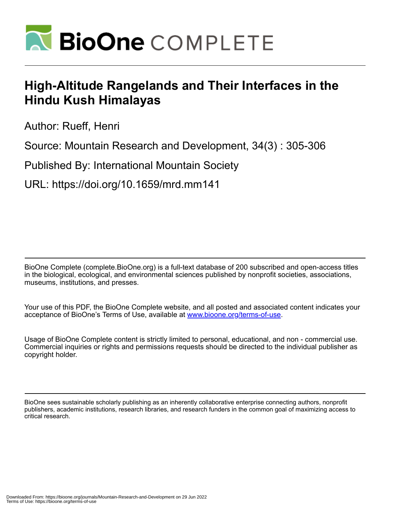

# **High-Altitude Rangelands and Their Interfaces in the Hindu Kush Himalayas**

Author: Rueff, Henri

Source: Mountain Research and Development, 34(3) : 305-306

Published By: International Mountain Society

URL: https://doi.org/10.1659/mrd.mm141

BioOne Complete (complete.BioOne.org) is a full-text database of 200 subscribed and open-access titles in the biological, ecological, and environmental sciences published by nonprofit societies, associations, museums, institutions, and presses.

Your use of this PDF, the BioOne Complete website, and all posted and associated content indicates your acceptance of BioOne's Terms of Use, available at www.bioone.org/terms-of-use.

Usage of BioOne Complete content is strictly limited to personal, educational, and non - commercial use. Commercial inquiries or rights and permissions requests should be directed to the individual publisher as copyright holder.

BioOne sees sustainable scholarly publishing as an inherently collaborative enterprise connecting authors, nonprofit publishers, academic institutions, research libraries, and research funders in the common goal of maximizing access to critical research.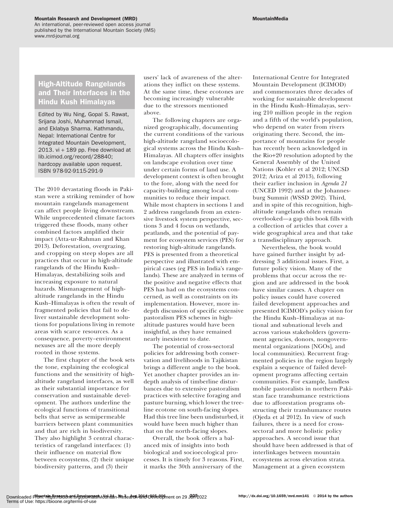#### Mountain Research and Development (MRD) and the control of the control of the MountainMedia

An international, peer-reviewed open access journal published by the International Mountain Society (IMS) www.mrd-journal.org

# High-Altitude Rangelands and Their Interfaces in the Hindu Kush Himalayas

Edited by Wu Ning, Gopal S. Rawat, Srijana Joshi, Muhammad Ismail, and Eklabya Sharma. Kathmandu, Nepal: International Centre for Integrated Mountain Development, 2013. vi  $+$  189 pp. Free download at lib.icimod.org/record/28840; hardcopy available upon request. ISBN 978-92-9115-291-9

The 2010 devastating floods in Pakistan were a striking reminder of how mountain rangelands management can affect people living downstream. While unprecedented climate factors triggered these floods, many other combined factors amplified their impact (Atta-ur-Rahman and Khan 2013). Deforestation, overgrazing, and cropping on steep slopes are all practices that occur in high-altitude rangelands of the Hindu Kush– Himalayas, destabilizing soils and increasing exposure to natural hazards. Mismanagement of highaltitude rangelands in the Hindu Kush–Himalayas is often the result of fragmented policies that fail to deliver sustainable development solutions for populations living in remote areas with scarce resources. As a consequence, poverty–environment nexuses are all the more deeply rooted in those systems.

The first chapter of the book sets the tone, explaining the ecological functions and the sensitivity of highaltitude rangeland interfaces, as well as their substantial importance for conservation and sustainable development. The authors underline the ecological functions of transitional belts that serve as semipermeable barriers between plant communities and that are rich in biodiversity. They also highlight 3 central characteristics of rangeland interfaces: (1) their influence on material flow between ecosystems, (2) their unique biodiversity patterns, and (3) their

users' lack of awareness of the alterations they inflict on these systems. At the same time, these ecotones are becoming increasingly vulnerable due to the stressors mentioned above.

The following chapters are organized geographically, documenting the current conditions of the various high-altitude rangeland socioecological systems across the Hindu Kush– Himalayas. All chapters offer insights on landscape evolution over time under certain forms of land use. A development context is often brought to the fore, along with the need for capacity-building among local communities to reduce their impact. While most chapters in sections 1 and 2 address rangelands from an extensive livestock system perspective, sections 3 and 4 focus on wetlands, peatlands, and the potential of payment for ecosystem services (PES) for restoring high-altitude rangelands. PES is presented from a theoretical perspective and illustrated with empirical cases (eg PES in India's rangelands). These are analyzed in terms of the positive and negative effects that PES has had on the ecosystems concerned, as well as constraints on its implementation. However, more indepth discussion of specific extensive pastoralism PES schemes in highaltitude pastures would have been insightful, as they have remained nearly inexistent to date.

The potential of cross-sectoral policies for addressing both conservation and livelihoods in Tajikistan brings a different angle to the book. Yet another chapter provides an indepth analysis of timberline disturbances due to extensive pastoralism practices with selective foraging and pasture burning, which lower the treeline ecotone on south-facing slopes. Had this tree line been undisturbed, it would have been much higher than that on the north-facing slopes.

Overall, the book offers a balanced mix of insights into both biological and socioecological processes. It is timely for 3 reasons. First, it marks the 30th anniversary of the

International Centre for Integrated Mountain Development (ICIMOD) and commemorates three decades of working for sustainable development in the Hindu Kush–Himalayas, serving 210 million people in the region and a fifth of the world's population, who depend on water from rivers originating there. Second, the importance of mountains for people has recently been acknowledged in the Rio+20 resolution adopted by the General Assembly of the United Nations (Kohler et al 2012; UNCSD 2012; Ariza et al 2013), following their earlier inclusion in Agenda 21 (UNCED 1992) and at the Johannesburg Summit (WSSD 2002). Third, and in spite of this recognition, highaltitude rangelands often remain overlooked—a gap this book fills with a collection of articles that cover a wide geographical area and that take a transdisciplinary approach.

Nevertheless, the book would have gained further insight by addressing 3 additional issues. First, a future policy vision. Many of the problems that occur across the region and are addressed in the book have similar causes. A chapter on policy issues could have covered failed development approaches and presented ICIMOD's policy vision for the Hindu Kush–Himalayas at national and subnational levels and across various stakeholders (government agencies, donors, nongovernmental organizations [NGOs], and local communities). Recurrent fragmented policies in the region largely explain a sequence of failed development programs affecting certain communities. For example, landless mobile pastoralists in northern Pakistan face transhumance restrictions due to afforestation programs obstructing their transhumance routes (Ojeda et al 2012). In view of such failures, there is a need for crosssectoral and more holistic policy approaches. A second issue that should have been addressed is that of interlinkages between mountain ecosystems across elevation strata. Management at a given ecosystem